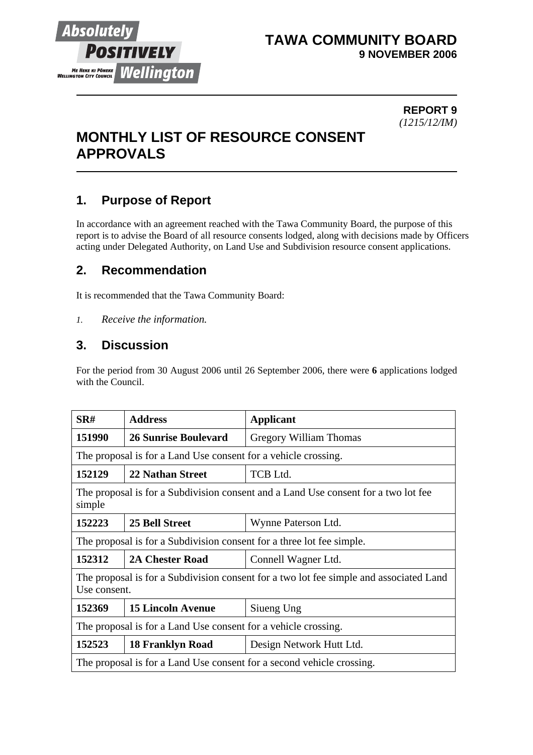

# **TAWA COMMUNITY BOARD 9 NOVEMBER 2006**

#### **REPORT 9** *(1215/12/IM)*

# **MONTHLY LIST OF RESOURCE CONSENT APPROVALS**

# **1. Purpose of Report**

In accordance with an agreement reached with the Tawa Community Board, the purpose of this report is to advise the Board of all resource consents lodged, along with decisions made by Officers acting under Delegated Authority, on Land Use and Subdivision resource consent applications.

# **2. Recommendation**

It is recommended that the Tawa Community Board:

*1. Receive the information.*

# **3. Discussion**

For the period from 30 August 2006 until 26 September 2006, there were **6** applications lodged with the Council.

| SR#                                                                                                    | <b>Address</b>              | <b>Applicant</b>         |  |
|--------------------------------------------------------------------------------------------------------|-----------------------------|--------------------------|--|
| 151990                                                                                                 | <b>26 Sunrise Boulevard</b> | Gregory William Thomas   |  |
| The proposal is for a Land Use consent for a vehicle crossing.                                         |                             |                          |  |
| 152129                                                                                                 | <b>22 Nathan Street</b>     | <b>TCB</b> Ltd.          |  |
| The proposal is for a Subdivision consent and a Land Use consent for a two lot fee<br>simple           |                             |                          |  |
| 152223                                                                                                 | 25 Bell Street              | Wynne Paterson Ltd.      |  |
| The proposal is for a Subdivision consent for a three lot fee simple.                                  |                             |                          |  |
| 152312                                                                                                 | <b>2A Chester Road</b>      | Connell Wagner Ltd.      |  |
| The proposal is for a Subdivision consent for a two lot fee simple and associated Land<br>Use consent. |                             |                          |  |
| 152369                                                                                                 | <b>15 Lincoln Avenue</b>    | Siueng Ung               |  |
| The proposal is for a Land Use consent for a vehicle crossing.                                         |                             |                          |  |
| 152523                                                                                                 | <b>18 Franklyn Road</b>     | Design Network Hutt Ltd. |  |
| The proposal is for a Land Use consent for a second vehicle crossing.                                  |                             |                          |  |